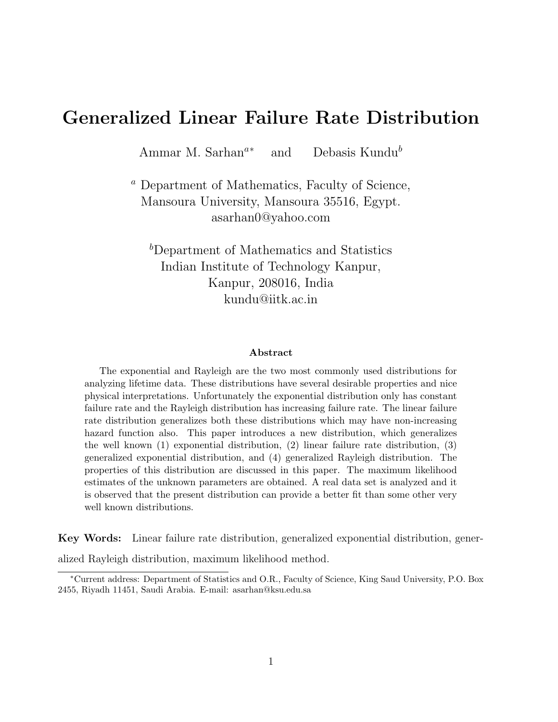# Generalized Linear Failure Rate Distribution

Ammar M. Sarhan<sup>a∗</sup> and Debasis Kundu<sup>b</sup>

<sup>a</sup> Department of Mathematics, Faculty of Science, Mansoura University, Mansoura 35516, Egypt. asarhan0@yahoo.com

<sup>b</sup>Department of Mathematics and Statistics Indian Institute of Technology Kanpur, Kanpur, 208016, India kundu@iitk.ac.in

#### Abstract

The exponential and Rayleigh are the two most commonly used distributions for analyzing lifetime data. These distributions have several desirable properties and nice physical interpretations. Unfortunately the exponential distribution only has constant failure rate and the Rayleigh distribution has increasing failure rate. The linear failure rate distribution generalizes both these distributions which may have non-increasing hazard function also. This paper introduces a new distribution, which generalizes the well known (1) exponential distribution, (2) linear failure rate distribution, (3) generalized exponential distribution, and (4) generalized Rayleigh distribution. The properties of this distribution are discussed in this paper. The maximum likelihood estimates of the unknown parameters are obtained. A real data set is analyzed and it is observed that the present distribution can provide a better fit than some other very well known distributions.

Key Words: Linear failure rate distribution, generalized exponential distribution, gener-

alized Rayleigh distribution, maximum likelihood method.

<sup>∗</sup>Current address: Department of Statistics and O.R., Faculty of Science, King Saud University, P.O. Box 2455, Riyadh 11451, Saudi Arabia. E-mail: asarhan@ksu.edu.sa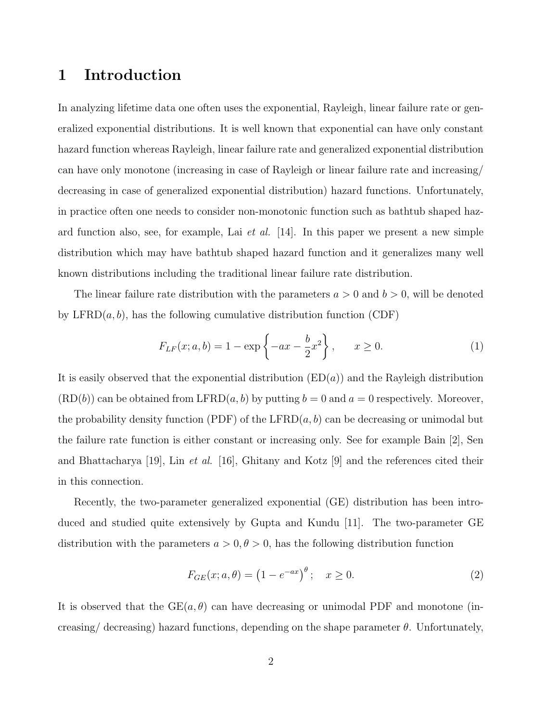## 1 Introduction

In analyzing lifetime data one often uses the exponential, Rayleigh, linear failure rate or generalized exponential distributions. It is well known that exponential can have only constant hazard function whereas Rayleigh, linear failure rate and generalized exponential distribution can have only monotone (increasing in case of Rayleigh or linear failure rate and increasing/ decreasing in case of generalized exponential distribution) hazard functions. Unfortunately, in practice often one needs to consider non-monotonic function such as bathtub shaped hazard function also, see, for example, Lai *et al.* [14]. In this paper we present a new simple distribution which may have bathtub shaped hazard function and it generalizes many well known distributions including the traditional linear failure rate distribution.

The linear failure rate distribution with the parameters  $a > 0$  and  $b > 0$ , will be denoted by  $\text{LFRD}(a, b)$ , has the following cumulative distribution function (CDF)

$$
F_{LF}(x; a, b) = 1 - \exp\left\{-ax - \frac{b}{2}x^2\right\}, \qquad x \ge 0.
$$
 (1)

It is easily observed that the exponential distribution  $(ED(a))$  and the Rayleigh distribution  $(RD(b))$  can be obtained from LFRD $(a, b)$  by putting  $b = 0$  and  $a = 0$  respectively. Moreover, the probability density function (PDF) of the LFRD $(a, b)$  can be decreasing or unimodal but the failure rate function is either constant or increasing only. See for example Bain [2], Sen and Bhattacharya [19], Lin et al. [16], Ghitany and Kotz [9] and the references cited their in this connection.

Recently, the two-parameter generalized exponential (GE) distribution has been introduced and studied quite extensively by Gupta and Kundu [11]. The two-parameter GE distribution with the parameters  $a > 0, \theta > 0$ , has the following distribution function

$$
F_{GE}(x; a, \theta) = (1 - e^{-ax})^{\theta}; \quad x \ge 0.
$$
 (2)

It is observed that the  $GE(a, \theta)$  can have decreasing or unimodal PDF and monotone (increasing/ decreasing) hazard functions, depending on the shape parameter  $\theta$ . Unfortunately,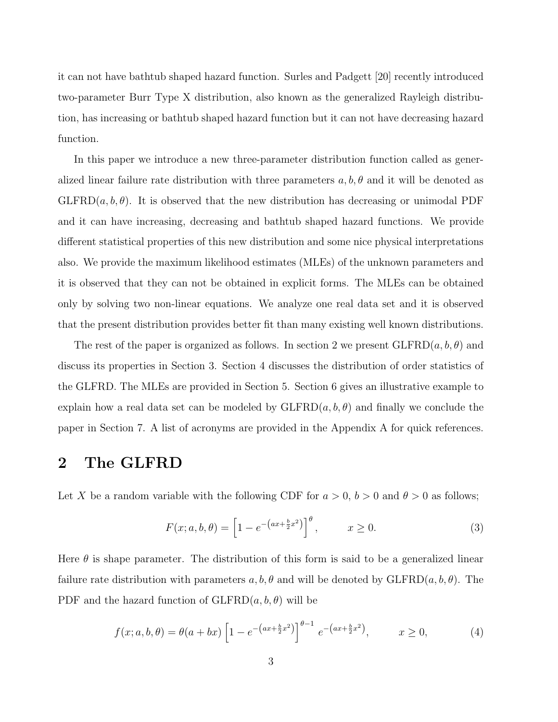it can not have bathtub shaped hazard function. Surles and Padgett [20] recently introduced two-parameter Burr Type X distribution, also known as the generalized Rayleigh distribution, has increasing or bathtub shaped hazard function but it can not have decreasing hazard function.

In this paper we introduce a new three-parameter distribution function called as generalized linear failure rate distribution with three parameters  $a, b, \theta$  and it will be denoted as  $GLFRD(a, b, \theta)$ . It is observed that the new distribution has decreasing or unimodal PDF and it can have increasing, decreasing and bathtub shaped hazard functions. We provide different statistical properties of this new distribution and some nice physical interpretations also. We provide the maximum likelihood estimates (MLEs) of the unknown parameters and it is observed that they can not be obtained in explicit forms. The MLEs can be obtained only by solving two non-linear equations. We analyze one real data set and it is observed that the present distribution provides better fit than many existing well known distributions.

The rest of the paper is organized as follows. In section 2 we present  $GLFRD(a, b, \theta)$  and discuss its properties in Section 3. Section 4 discusses the distribution of order statistics of the GLFRD. The MLEs are provided in Section 5. Section 6 gives an illustrative example to explain how a real data set can be modeled by  $GLFRD(a, b, \theta)$  and finally we conclude the paper in Section 7. A list of acronyms are provided in the Appendix A for quick references.

### 2 The GLFRD

Let X be a random variable with the following CDF for  $a > 0$ ,  $b > 0$  and  $\theta > 0$  as follows;

$$
F(x;a,b,\theta) = \left[1 - e^{-\left(ax + \frac{b}{2}x^2\right)}\right]^{\theta}, \qquad x \ge 0.
$$
 (3)

Here  $\theta$  is shape parameter. The distribution of this form is said to be a generalized linear failure rate distribution with parameters  $a, b, \theta$  and will be denoted by  $GLFRD(a, b, \theta)$ . The PDF and the hazard function of  $GLFRD(a, b, \theta)$  will be

$$
f(x;a,b,\theta) = \theta(a+bx) \left[1 - e^{-(ax+\frac{b}{2}x^2)}\right]^{\theta-1} e^{-(ax+\frac{b}{2}x^2)}, \qquad x \ge 0,
$$
 (4)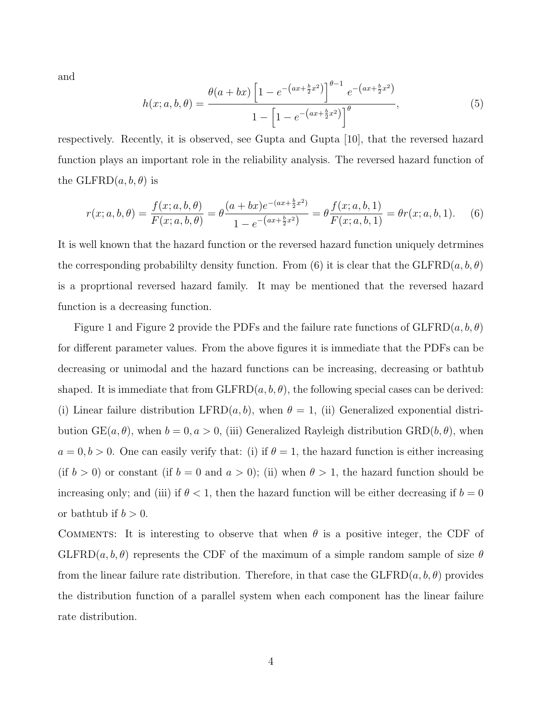and

$$
h(x;a,b,\theta) = \frac{\theta(a+bx)\left[1 - e^{-(ax+\frac{b}{2}x^2)}\right]^{\theta-1} e^{-(ax+\frac{b}{2}x^2)}}{1 - \left[1 - e^{-(ax+\frac{b}{2}x^2)}\right]^{\theta}},
$$
\n(5)

respectively. Recently, it is observed, see Gupta and Gupta [10], that the reversed hazard function plays an important role in the reliability analysis. The reversed hazard function of the GLFRD $(a, b, \theta)$  is

$$
r(x;a,b,\theta) = \frac{f(x;a,b,\theta)}{F(x;a,b,\theta)} = \theta \frac{(a+bx)e^{-(ax+\frac{b}{2}x^{2})}}{1-e^{-(ax+\frac{b}{2}x^{2})}} = \theta \frac{f(x;a,b,1)}{F(x;a,b,1)} = \theta r(x;a,b,1). \tag{6}
$$

It is well known that the hazard function or the reversed hazard function uniquely detrmines the corresponding probabililty density function. From (6) it is clear that the GLFRD $(a, b, \theta)$ is a proprtional reversed hazard family. It may be mentioned that the reversed hazard function is a decreasing function.

Figure 1 and Figure 2 provide the PDFs and the failure rate functions of  $GLFRD(a, b, \theta)$ for different parameter values. From the above figures it is immediate that the PDFs can be decreasing or unimodal and the hazard functions can be increasing, decreasing or bathtub shaped. It is immediate that from  $GLFRD(a, b, \theta)$ , the following special cases can be derived: (i) Linear failure distribution LFRD $(a, b)$ , when  $\theta = 1$ , (ii) Generalized exponential distribution  $GE(a, \theta)$ , when  $b = 0, a > 0$ , (iii) Generalized Rayleigh distribution  $GRD(b, \theta)$ , when  $a = 0, b > 0$ . One can easily verify that: (i) if  $\theta = 1$ , the hazard function is either increasing (if  $b > 0$ ) or constant (if  $b = 0$  and  $a > 0$ ); (ii) when  $\theta > 1$ , the hazard function should be increasing only; and (iii) if  $\theta < 1$ , then the hazard function will be either decreasing if  $b = 0$ or bathtub if  $b > 0$ .

COMMENTS: It is interesting to observe that when  $\theta$  is a positive integer, the CDF of  $GLFRD(a, b, \theta)$  represents the CDF of the maximum of a simple random sample of size  $\theta$ from the linear failure rate distribution. Therefore, in that case the  $GLFRD(a, b, \theta)$  provides the distribution function of a parallel system when each component has the linear failure rate distribution.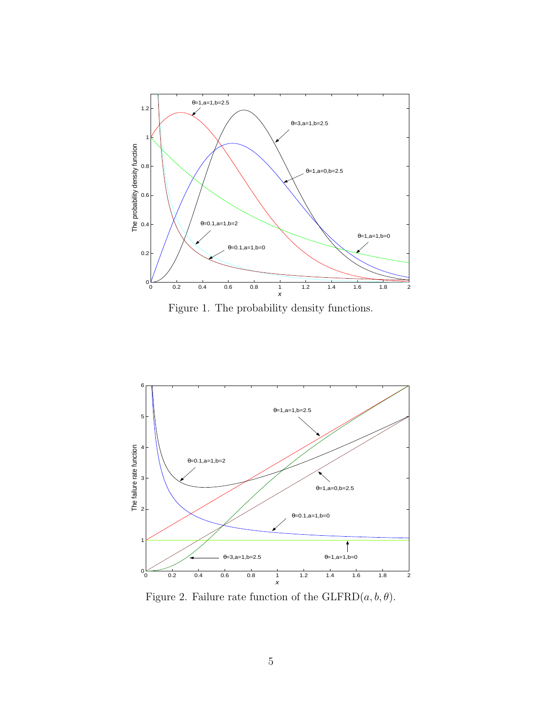

Figure 1. The probability density functions.



Figure 2. Failure rate function of the  $GLFRD(a, b, \theta)$ .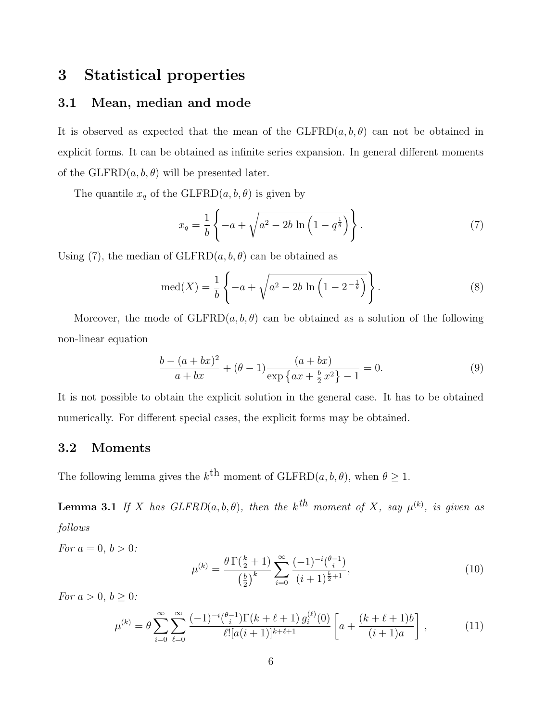### 3 Statistical properties

### 3.1 Mean, median and mode

It is observed as expected that the mean of the  $GLFRD(a, b, \theta)$  can not be obtained in explicit forms. It can be obtained as infinite series expansion. In general different moments of the GLFRD $(a, b, \theta)$  will be presented later.

The quantile  $x_q$  of the GLFRD $(a, b, \theta)$  is given by

$$
x_q = \frac{1}{b} \left\{ -a + \sqrt{a^2 - 2b \ln\left(1 - q^{\frac{1}{\theta}}\right)} \right\}.
$$
 (7)

Using (7), the median of  $GLFRD(a, b, \theta)$  can be obtained as

$$
\text{med}(X) = \frac{1}{b} \left\{ -a + \sqrt{a^2 - 2b \ln \left( 1 - 2^{-\frac{1}{\theta}} \right)} \right\}.
$$
 (8)

Moreover, the mode of  $GLFRD(a, b, \theta)$  can be obtained as a solution of the following non-linear equation

$$
\frac{b - (a + bx)^2}{a + bx} + (\theta - 1) \frac{(a + bx)}{\exp\left\{ax + \frac{b}{2}x^2\right\} - 1} = 0.
$$
\n(9)

It is not possible to obtain the explicit solution in the general case. It has to be obtained numerically. For different special cases, the explicit forms may be obtained.

#### 3.2 Moments

The following lemma gives the  $k^{\text{th}}$  moment of  $\text{GLFRD}(a, b, \theta)$ , when  $\theta \geq 1$ .

**Lemma 3.1** If X has  $GLFRD(a, b, \theta)$ , then the  $k^{th}$  moment of X, say  $\mu^{(k)}$ , is given as follows

For 
$$
a = 0, b > 0
$$
:

$$
\mu^{(k)} = \frac{\theta \Gamma(\frac{k}{2} + 1)}{\left(\frac{b}{2}\right)^k} \sum_{i=0}^{\infty} \frac{(-1)^{-i} \binom{\theta - 1}{i}}{(i+1)^{\frac{k}{2}+1}},\tag{10}
$$

For  $a > 0, b \geq 0$ :

$$
\mu^{(k)} = \theta \sum_{i=0}^{\infty} \sum_{\ell=0}^{\infty} \frac{(-1)^{-i} \binom{\theta-1}{i} \Gamma(k+\ell+1) g_i^{(\ell)}(0)}{\ell! [a(i+1)]^{k+\ell+1}} \left[ a + \frac{(k+\ell+1)b}{(i+1)a} \right],\tag{11}
$$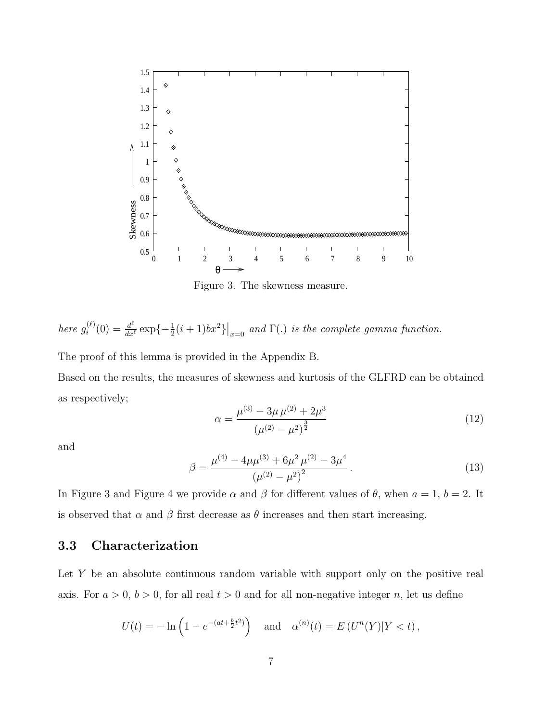

Figure 3. The skewness measure.

here 
$$
g_i^{(\ell)}(0) = \frac{d^{\ell}}{dx^{\ell}} \exp\{-\frac{1}{2}(i+1)bx^2\}\big|_{x=0}
$$
 and  $\Gamma(.)$  is the complete gamma function.

The proof of this lemma is provided in the Appendix B.

Based on the results, the measures of skewness and kurtosis of the GLFRD can be obtained as respectively;

$$
\alpha = \frac{\mu^{(3)} - 3\mu \mu^{(2)} + 2\mu^3}{\left(\mu^{(2)} - \mu^2\right)^{\frac{3}{2}}}
$$
\n(12)

and

$$
\beta = \frac{\mu^{(4)} - 4\mu\mu^{(3)} + 6\mu^2\mu^{(2)} - 3\mu^4}{\left(\mu^{(2)} - \mu^2\right)^2}.
$$
\n(13)

In Figure 3 and Figure 4 we provide  $\alpha$  and  $\beta$  for different values of  $\theta$ , when  $a = 1$ ,  $b = 2$ . It is observed that  $\alpha$  and  $\beta$  first decrease as  $\theta$  increases and then start increasing.

### 3.3 Characterization

Let Y be an absolute continuous random variable with support only on the positive real axis. For  $a > 0$ ,  $b > 0$ , for all real  $t > 0$  and for all non-negative integer n, let us define

$$
U(t) = -\ln\left(1 - e^{-(at + \frac{b}{2}t^2)}\right)
$$
 and  $\alpha^{(n)}(t) = E(U^n(Y)|Y < t)$ ,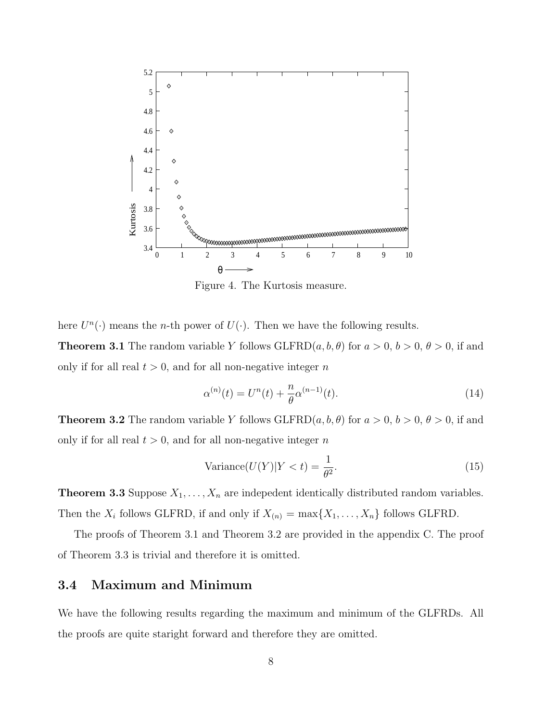

Figure 4. The Kurtosis measure.

here  $U^{n}(\cdot)$  means the *n*-th power of  $U(\cdot)$ . Then we have the following results. **Theorem 3.1** The random variable Y follows GLFRD $(a, b, \theta)$  for  $a > 0$ ,  $b > 0$ ,  $\theta > 0$ , if and only if for all real  $t > 0$ , and for all non-negative integer n

$$
\alpha^{(n)}(t) = U^n(t) + \frac{n}{\theta} \alpha^{(n-1)}(t).
$$
 (14)

**Theorem 3.2** The random variable Y follows GLFRD $(a, b, \theta)$  for  $a > 0$ ,  $b > 0$ ,  $\theta > 0$ , if and only if for all real  $t > 0$ , and for all non-negative integer n

$$
Variance(U(Y)|Y < t) = \frac{1}{\theta^2}.
$$
\n(15)

**Theorem 3.3** Suppose  $X_1, \ldots, X_n$  are indepedent identically distributed random variables. Then the  $X_i$  follows GLFRD, if and only if  $X_{(n)} = \max\{X_1, \ldots, X_n\}$  follows GLFRD.

The proofs of Theorem 3.1 and Theorem 3.2 are provided in the appendix C. The proof of Theorem 3.3 is trivial and therefore it is omitted.

#### 3.4 Maximum and Minimum

We have the following results regarding the maximum and minimum of the GLFRDs. All the proofs are quite staright forward and therefore they are omitted.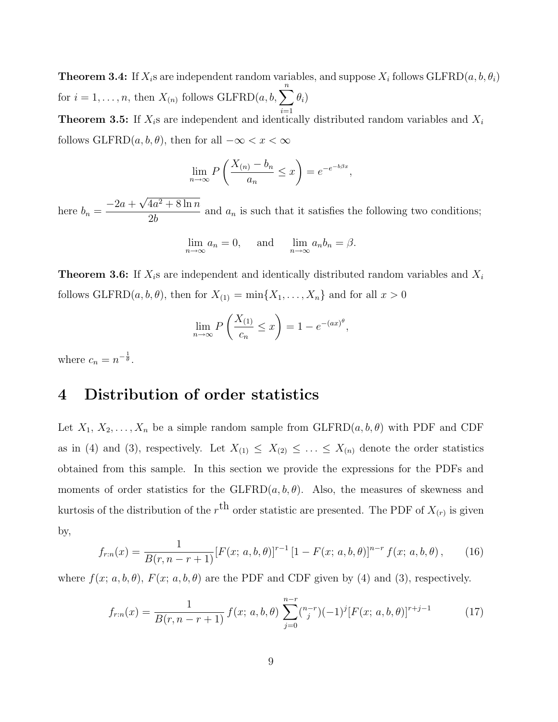**Theorem 3.4:** If  $X_i$ s are independent random variables, and suppose  $X_i$  follows  $GLFRD(a, b, \theta_i)$ for  $i = 1, ..., n$ , then  $X_{(n)}$  follows  $\text{GLFRD}(a, b, \sum_{n=1}^{n}$  $i=1$  $\theta_i)$ 

**Theorem 3.5:** If  $X_i$ s are independent and identically distributed random variables and  $X_i$ follows GLFRD $(a, b, \theta)$ , then for all  $-\infty < x < \infty$ 

$$
\lim_{n \to \infty} P\left(\frac{X_{(n)} - b_n}{a_n} \le x\right) = e^{-e^{-b\beta x}},
$$

here  $b_n = \frac{-2a + \sqrt{4a^2 + 8\ln n}}{2h}$  $\frac{2b}{2b}$  and  $a_n$  is such that it satisfies the following two conditions;

$$
\lim_{n \to \infty} a_n = 0, \quad \text{and} \quad \lim_{n \to \infty} a_n b_n = \beta.
$$

**Theorem 3.6:** If  $X_i$ s are independent and identically distributed random variables and  $X_i$ follows  $GLFRD(a, b, \theta)$ , then for  $X_{(1)} = \min\{X_1, \ldots, X_n\}$  and for all  $x > 0$ 

$$
\lim_{n \to \infty} P\left(\frac{X_{(1)}}{c_n} \le x\right) = 1 - e^{-(ax)^\theta},
$$

where  $c_n = n^{-\frac{1}{\theta}}$ .

## 4 Distribution of order statistics

Let  $X_1, X_2, \ldots, X_n$  be a simple random sample from  $GLFRD(a, b, \theta)$  with PDF and CDF as in (4) and (3), respectively. Let  $X_{(1)} \leq X_{(2)} \leq \ldots \leq X_{(n)}$  denote the order statistics obtained from this sample. In this section we provide the expressions for the PDFs and moments of order statistics for the  $GLFRD(a, b, \theta)$ . Also, the measures of skewness and kurtosis of the distribution of the  $r<sup>th</sup>$  order statistic are presented. The PDF of  $X_{(r)}$  is given by,

$$
f_{r:n}(x) = \frac{1}{B(r, n-r+1)} [F(x; a, b, \theta)]^{r-1} [1 - F(x; a, b, \theta)]^{n-r} f(x; a, b, \theta), \qquad (16)
$$

where  $f(x; a, b, \theta)$ ,  $F(x; a, b, \theta)$  are the PDF and CDF given by (4) and (3), respectively.

$$
f_{r:n}(x) = \frac{1}{B(r, n-r+1)} f(x; a, b, \theta) \sum_{j=0}^{n-r} {\binom{n-r}{j}} (-1)^j [F(x; a, b, \theta)]^{r+j-1}
$$
(17)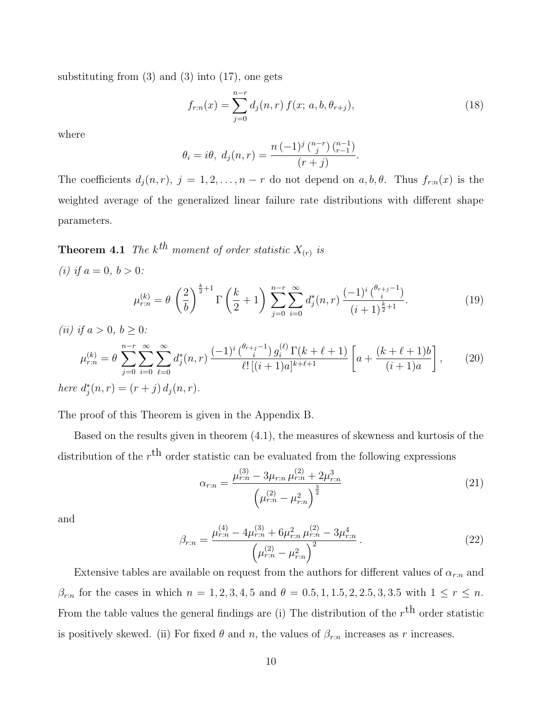substituting from  $(3)$  and  $(3)$  into  $(17)$ , one gets

$$
f_{r:n}(x) = \sum_{j=0}^{n-r} d_j(n,r) f(x; a, b, \theta_{r+j}),
$$
\n(18)

where

$$
\theta_i = i\theta, \ d_j(n,r) = \frac{n (-1)^j {n-r \choose j} {n-1 \choose r-1}}{(r+j)}.
$$

The coefficients  $d_j(n,r)$ ,  $j = 1, 2, ..., n-r$  do not depend on  $a, b, \theta$ . Thus  $f_{r:n}(x)$  is the weighted average of the generalized linear failure rate distributions with different shape parameters.

**Theorem 4.1** The  $k^{th}$  moment of order statistic  $X_{(r)}$  is (*i*) if  $a = 0, b > 0$ :

$$
\mu_{r:n}^{(k)} = \theta \left(\frac{2}{b}\right)^{\frac{k}{2}+1} \Gamma\left(\frac{k}{2}+1\right) \sum_{j=0}^{n-r} \sum_{i=0}^{\infty} d_j^*(n,r) \frac{(-1)^i \binom{\theta_{r+j-1}}{i}}{(i+1)^{\frac{k}{2}+1}}.
$$
\n(19)

(*ii*) *if*  $a > 0, b \ge 0$ :  $\mu_{r:n}^{(k)} = \theta \, \sum^{n-r}$  $j=0$  $\sum^{\infty}$  $i=0$  $\sum^{\infty}$  $_{\ell=0}$  $d_i^*$  $\int_{j}^{*}(n,r)\,\frac{(-1)^{i}\,\binom{\theta_{r+j}-1}{i}}{\ell!\,\lceil (j\,\rceil)}$  $j_i^{(i-1)} g_i^{(\ell)} \Gamma(k + \ell + 1)$  $\frac{\int_{\ell}^{b_{r+j}-1} g_i^{(t)} \Gamma(k+\ell+1)}{\ell!\left[(i+1)a\right]^{k+\ell+1}} \Bigg[ a +$  $(k + \ell + 1)b$  $(i+1)a$ 1  $(20)$ 

here  $d_j^*(n,r) = (r + j) d_j(n,r)$ .

The proof of this Theorem is given in the Appendix B.

Based on the results given in theorem (4.1), the measures of skewness and kurtosis of the distribution of the  $r<sup>th</sup>$  order statistic can be evaluated from the following expressions

$$
\alpha_{r:n} = \frac{\mu_{r:n}^{(3)} - 3\mu_{r:n} \mu_{r:n}^{(2)} + 2\mu_{r:n}^3}{\left(\mu_{r:n}^{(2)} - \mu_{r:n}^2\right)^{\frac{3}{2}}}
$$
(21)

and

$$
\beta_{r:n} = \frac{\mu_{r:n}^{(4)} - 4\mu_{r:n}^{(3)} + 6\mu_{r:n}^2 \mu_{r:n}^{(2)} - 3\mu_{r:n}^4}{\left(\mu_{r:n}^{(2)} - \mu_{r:n}^2\right)^2}.
$$
\n(22)

Extensive tables are available on request from the authors for different values of  $\alpha_{r:n}$  and  $\beta_{r:n}$  for the cases in which  $n = 1, 2, 3, 4, 5$  and  $\theta = 0.5, 1, 1.5, 2, 2.5, 3, 3.5$  with  $1 \le r \le n$ . From the table values the general findings are (i) The distribution of the  $r<sup>th</sup>$  order statistic is positively skewed. (ii) For fixed  $\theta$  and n, the values of  $\beta_{r:n}$  increases as r increases.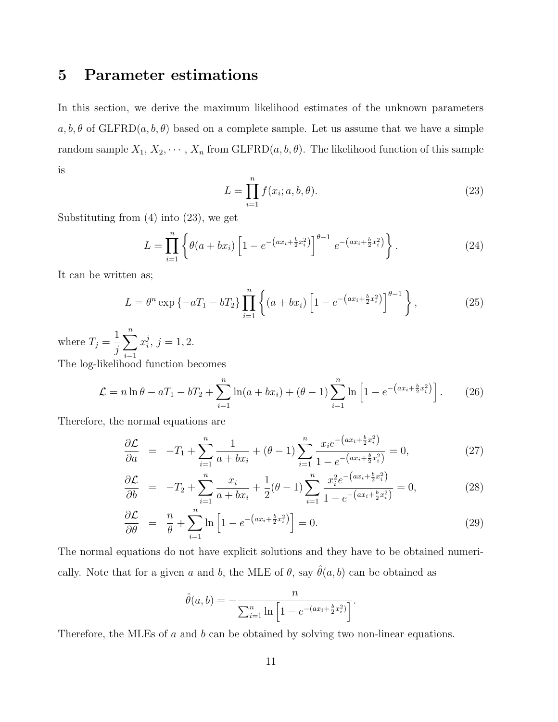## 5 Parameter estimations

In this section, we derive the maximum likelihood estimates of the unknown parameters  $a, b, \theta$  of GLFRD $(a, b, \theta)$  based on a complete sample. Let us assume that we have a simple random sample  $X_1, X_2, \cdots, X_n$  from GLFRD $(a, b, \theta)$ . The likelihood function of this sample is

$$
L = \prod_{i=1}^{n} f(x_i; a, b, \theta).
$$
 (23)

Substituting from (4) into (23), we get

$$
L = \prod_{i=1}^{n} \left\{ \theta(a + bx_i) \left[ 1 - e^{-\left(ax_i + \frac{b}{2}x_i^2\right)} \right]^{\theta - 1} e^{-\left(ax_i + \frac{b}{2}x_i^2\right)} \right\}.
$$
 (24)

It can be written as;

$$
L = \theta^n \exp\left\{-aT_1 - bT_2\right\} \prod_{i=1}^n \left\{ (a + bx_i) \left[ 1 - e^{-\left(ax_i + \frac{b}{2}x_i^2\right)} \right]^{\theta - 1} \right\},\tag{25}
$$

where  $T_j =$ 1 j  $\sum_{n=1}^{\infty}$  $i=1$  $x_i^j$  $j, j = 1, 2.$ 

The log-likelihood function becomes

$$
\mathcal{L} = n \ln \theta - aT_1 - bT_2 + \sum_{i=1}^{n} \ln(a + bx_i) + (\theta - 1) \sum_{i=1}^{n} \ln \left[ 1 - e^{-(ax_i + \frac{b}{2}x_i^2)} \right].
$$
 (26)

Therefore, the normal equations are

$$
\frac{\partial \mathcal{L}}{\partial a} = -T_1 + \sum_{i=1}^{n} \frac{1}{a + bx_i} + (\theta - 1) \sum_{i=1}^{n} \frac{x_i e^{-(ax_i + \frac{b}{2}x_i^2)}}{1 - e^{-(ax_i + \frac{b}{2}x_i^2)}} = 0, \tag{27}
$$

$$
\frac{\partial \mathcal{L}}{\partial b} = -T_2 + \sum_{i=1}^{n} \frac{x_i}{a + bx_i} + \frac{1}{2} (\theta - 1) \sum_{i=1}^{n} \frac{x_i^2 e^{-(ax_i + \frac{b}{2}x_i^2)}}{1 - e^{-(ax_i + \frac{b}{2}x_i^2)}} = 0,
$$
\n(28)

$$
\frac{\partial \mathcal{L}}{\partial \theta} = \frac{n}{\theta} + \sum_{i=1}^{n} \ln \left[ 1 - e^{-\left( ax_i + \frac{b}{2} x_i^2 \right)} \right] = 0. \tag{29}
$$

The normal equations do not have explicit solutions and they have to be obtained numerically. Note that for a given a and b, the MLE of  $\theta$ , say  $\hat{\theta}(a, b)$  can be obtained as

$$
\hat{\theta}(a,b) = -\frac{n}{\sum_{i=1}^{n} \ln\left[1 - e^{-(ax_i + \frac{b}{2}x_i^2)}\right]}.
$$

Therefore, the MLEs of a and b can be obtained by solving two non-linear equations.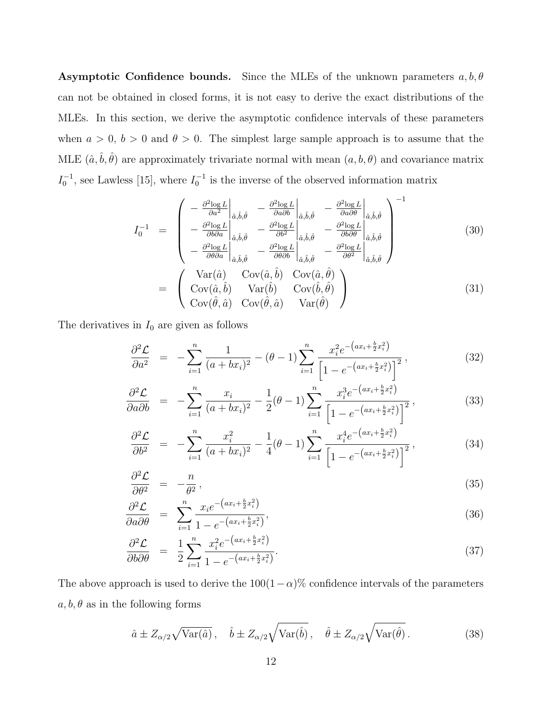**Asymptotic Confidence bounds.** Since the MLEs of the unknown parameters  $a, b, \theta$ can not be obtained in closed forms, it is not easy to derive the exact distributions of the MLEs. In this section, we derive the asymptotic confidence intervals of these parameters when  $a > 0$ ,  $b > 0$  and  $\theta > 0$ . The simplest large sample approach is to assume that the MLE  $(\hat{a}, \hat{b}, \hat{\theta})$  are approximately trivariate normal with mean  $(a, b, \theta)$  and covariance matrix  $I_0^{-1}$ , see Lawless [15], where  $I_0^{-1}$  is the inverse of the observed information matrix

$$
I_0^{-1} = \begin{pmatrix} -\frac{\partial^2 \log L}{\partial a^2} \Big|_{\hat{a},\hat{b},\hat{\theta}} & -\frac{\partial^2 \log L}{\partial a \partial b} \Big|_{\hat{a},\hat{b},\hat{\theta}} & -\frac{\partial^2 \log L}{\partial a \partial \theta} \Big|_{\hat{a},\hat{b},\hat{\theta}} \\ -\frac{\partial^2 \log L}{\partial b \partial a} \Big|_{\hat{a},\hat{b},\hat{\theta}} & -\frac{\partial^2 \log L}{\partial b^2} \Big|_{\hat{a},\hat{b},\hat{\theta}} & -\frac{\partial^2 \log L}{\partial b \partial \theta} \Big|_{\hat{a},\hat{b},\hat{\theta}} \\ -\frac{\partial^2 \log L}{\partial \theta \partial a} \Big|_{\hat{a},\hat{b},\hat{\theta}} & -\frac{\partial^2 \log L}{\partial \theta \partial b} \Big|_{\hat{a},\hat{b},\hat{\theta}} & -\frac{\partial^2 \log L}{\partial \theta^2} \Big|_{\hat{a},\hat{b},\hat{\theta}} \end{pmatrix} \tag{30}
$$

$$
= \begin{pmatrix} \text{Var}(\hat{a}) & \text{Cov}(\hat{a},\hat{b}) & \text{Cov}(\hat{a},\hat{\theta}) \\ \text{Cov}(\hat{a},\hat{b}) & \text{Var}(\hat{b}) & \text{Cov}(\hat{b},\hat{\theta}) \\ \text{Cov}(\hat{\theta},\hat{a}) & \text{Cov}(\hat{\theta},\hat{a}) & \text{Var}(\hat{\theta}) \end{pmatrix} \tag{31}
$$

The derivatives in  $I_0$  are given as follows

$$
\frac{\partial^2 \mathcal{L}}{\partial a^2} = -\sum_{i=1}^n \frac{1}{(a+bx_i)^2} - (\theta - 1) \sum_{i=1}^n \frac{x_i^2 e^{-(ax_i + \frac{b}{2}x_i^2)}}{\left[1 - e^{-(ax_i + \frac{b}{2}x_i^2)}\right]^2},
$$
\n(32)

$$
\frac{\partial^2 \mathcal{L}}{\partial a \partial b} = -\sum_{i=1}^n \frac{x_i}{(a + bx_i)^2} - \frac{1}{2} (\theta - 1) \sum_{i=1}^n \frac{x_i^3 e^{-(ax_i + \frac{b}{2}x_i^2)}}{\left[1 - e^{-(ax_i + \frac{b}{2}x_i^2)}\right]^2},
$$
\n(33)

$$
\frac{\partial^2 \mathcal{L}}{\partial b^2} = -\sum_{i=1}^n \frac{x_i^2}{(a+bx_i)^2} - \frac{1}{4}(\theta-1) \sum_{i=1}^n \frac{x_i^4 e^{-\left(ax_i + \frac{b}{2}x_i^2\right)}}{\left[1 - e^{-\left(ax_i + \frac{b}{2}x_i^2\right)}\right]^2},\tag{34}
$$

$$
\frac{\partial^2 \mathcal{L}}{\partial \theta^2} = -\frac{n}{\theta^2},\tag{35}
$$

$$
\frac{\partial^2 \mathcal{L}}{\partial a \partial \theta} = \sum_{i=1}^n \frac{x_i e^{-\left(ax_i + \frac{b}{2}x_i^2\right)}}{1 - e^{-\left(ax_i + \frac{b}{2}x_i^2\right)}},\tag{36}
$$

$$
\frac{\partial^2 \mathcal{L}}{\partial b \partial \theta} = \frac{1}{2} \sum_{i=1}^n \frac{x_i^2 e^{-\left(ax_i + \frac{b}{2}x_i^2\right)}}{1 - e^{-\left(ax_i + \frac{b}{2}x_i^2\right)}}.
$$
\n(37)

The above approach is used to derive the  $100(1-\alpha)\%$  confidence intervals of the parameters  $a, b, \theta$  as in the following forms

$$
\hat{a} \pm Z_{\alpha/2} \sqrt{\text{Var}(\hat{a})}, \quad \hat{b} \pm Z_{\alpha/2} \sqrt{\text{Var}(\hat{b})}, \quad \hat{\theta} \pm Z_{\alpha/2} \sqrt{\text{Var}(\hat{\theta})}. \tag{38}
$$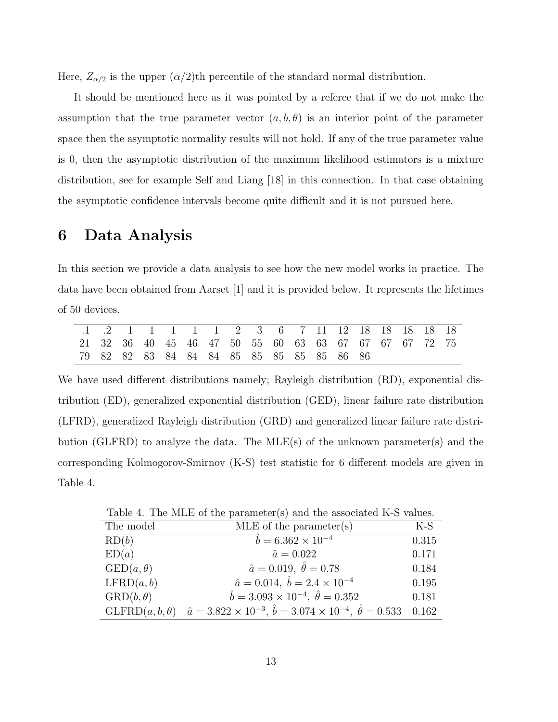Here,  $Z_{\alpha/2}$  is the upper  $(\alpha/2)$ th percentile of the standard normal distribution.

It should be mentioned here as it was pointed by a referee that if we do not make the assumption that the true parameter vector  $(a, b, \theta)$  is an interior point of the parameter space then the asymptotic normality results will not hold. If any of the true parameter value is 0, then the asymptotic distribution of the maximum likelihood estimators is a mixture distribution, see for example Self and Liang [18] in this connection. In that case obtaining the asymptotic confidence intervals become quite difficult and it is not pursued here.

### 6 Data Analysis

In this section we provide a data analysis to see how the new model works in practice. The data have been obtained from Aarset [1] and it is provided below. It represents the lifetimes of 50 devices.

| .1 .2 1 1 1 1 1 2 3 6 7 11 12 18 18 18 18 18          |  |  |  |  |  |  |  |  |
|-------------------------------------------------------|--|--|--|--|--|--|--|--|
| 21 32 36 40 45 46 47 50 55 60 63 63 67 67 67 67 72 75 |  |  |  |  |  |  |  |  |
| 79 82 82 83 84 84 84 85 85 85 85 85 86 86             |  |  |  |  |  |  |  |  |

We have used different distributions namely; Rayleigh distribution (RD), exponential distribution (ED), generalized exponential distribution (GED), linear failure rate distribution (LFRD), generalized Rayleigh distribution (GRD) and generalized linear failure rate distribution (GLFRD) to analyze the data. The MLE(s) of the unknown parameter(s) and the corresponding Kolmogorov-Smirnov (K-S) test statistic for 6 different models are given in Table 4.

Table 4. The MLE of the parameter(s) and the associated K-S values.

| The model                 | $MLE$ of the parameter(s)                                                              | $K-S$ |
|---------------------------|----------------------------------------------------------------------------------------|-------|
| RD(b)                     | $\hat{b} = 6.362 \times 10^{-4}$                                                       | 0.315 |
| ED(a)                     | $\hat{a} = 0.022$                                                                      | 0.171 |
| $\text{GED}(a,\theta)$    | $\hat{a} = 0.019, \ \hat{\theta} = 0.78$                                               | 0.184 |
| LFRD(a, b)                | $\hat{a} = 0.014, \ \hat{b} = 2.4 \times 10^{-4}$                                      | 0.195 |
| $\mathrm{GRD}(b, \theta)$ | $\hat{b} = 3.093 \times 10^{-4}, \ \hat{\theta} = 0.352$                               | 0.181 |
| $GLFRD(a, b, \theta)$     | $\hat{a} = 3.822 \times 10^{-3}, \hat{b} = 3.074 \times 10^{-4}, \hat{\theta} = 0.533$ | 0.162 |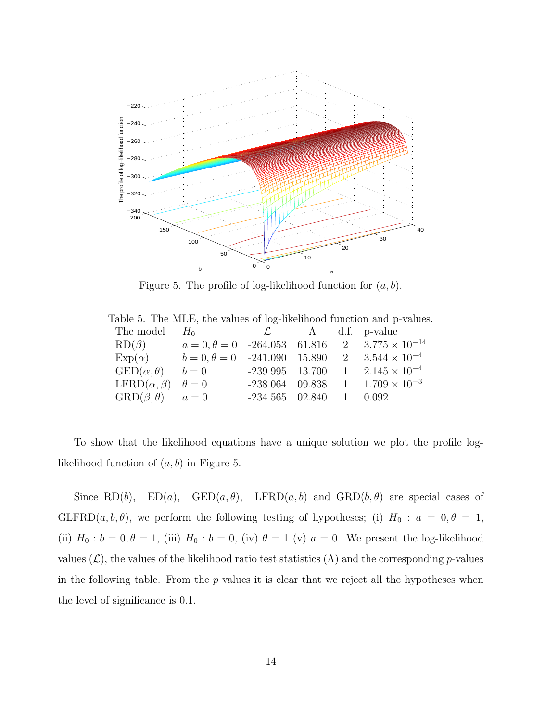

Figure 5. The profile of log-likelihood function for  $(a, b)$ .

|  |  |  |  |  |  |  |  |  | Table 5. The MLE, the values of log-likelihood function and p-values. |  |  |  |
|--|--|--|--|--|--|--|--|--|-----------------------------------------------------------------------|--|--|--|
|--|--|--|--|--|--|--|--|--|-----------------------------------------------------------------------|--|--|--|

| The model $H_0$                     |                                     |                   |  | $\mathcal{L}$ $\Lambda$ d.f. p-value                                   |
|-------------------------------------|-------------------------------------|-------------------|--|------------------------------------------------------------------------|
| $RD(\beta)$                         |                                     |                   |  | $a = 0, \theta = 0$ -264.053 61.816 2 3.775 $\times$ 10 <sup>-14</sup> |
| $Exp(\alpha)$                       | $b = 0, \theta = 0$ -241.090 15.890 |                   |  | 2 $3.544 \times 10^{-4}$                                               |
| $\text{GED}(\alpha,\theta)$         |                                     |                   |  | $b = 0$ -239.995 13.700 1 2.145 × 10 <sup>-4</sup>                     |
| LFRD $(\alpha, \beta)$ $\theta = 0$ |                                     |                   |  | $-238.064$ 09.838 1 $1.709 \times 10^{-3}$                             |
| $GRD(\beta, \theta)$ $a = 0$        |                                     | $-234.565$ 02.840 |  | 1 0.092                                                                |

To show that the likelihood equations have a unique solution we plot the profile loglikelihood function of  $(a, b)$  in Figure 5.

Since RD(b),  $ED(a)$ ,  $GED(a, \theta)$ ,  $LFRD(a, b)$  and  $GRD(b, \theta)$  are special cases of GLFRD(a, b,  $\theta$ ), we perform the following testing of hypotheses; (i)  $H_0: a = 0, \theta = 1$ , (ii)  $H_0: b = 0, \theta = 1$ , (iii)  $H_0: b = 0$ , (iv)  $\theta = 1$  (v)  $a = 0$ . We present the log-likelihood values  $(\mathcal{L})$ , the values of the likelihood ratio test statistics  $(\Lambda)$  and the corresponding p-values in the following table. From the  $p$  values it is clear that we reject all the hypotheses when the level of significance is 0.1.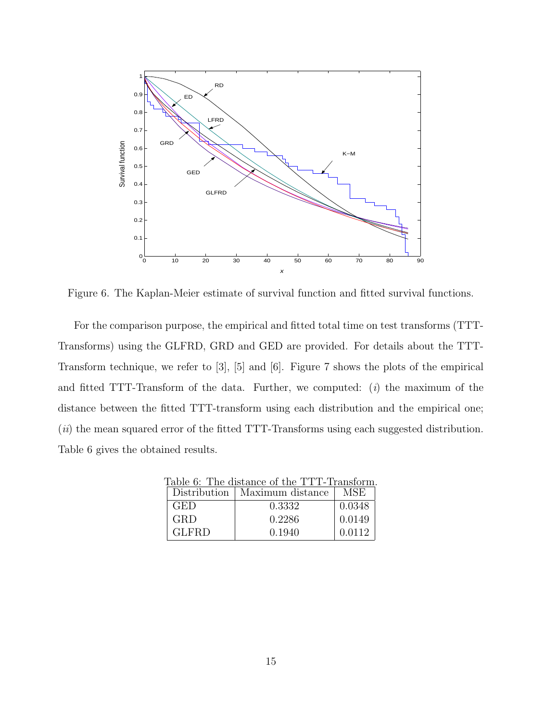

Figure 6. The Kaplan-Meier estimate of survival function and fitted survival functions.

For the comparison purpose, the empirical and fitted total time on test transforms (TTT-Transforms) using the GLFRD, GRD and GED are provided. For details about the TTT-Transform technique, we refer to [3], [5] and [6]. Figure 7 shows the plots of the empirical and fitted TTT-Transform of the data. Further, we computed:  $(i)$  the maximum of the distance between the fitted TTT-transform using each distribution and the empirical one; (*ii*) the mean squared error of the fitted TTT-Transforms using each suggested distribution. Table 6 gives the obtained results.

| Table 6: The distance of the TTT-Transform. |                                 |        |  |  |  |  |  |
|---------------------------------------------|---------------------------------|--------|--|--|--|--|--|
|                                             | Distribution   Maximum distance | MSE    |  |  |  |  |  |
| GED                                         | 0.3332                          | 0.0348 |  |  |  |  |  |
| <b>GRD</b>                                  | 0.2286                          | 0.0149 |  |  |  |  |  |
| <b>GLFRD</b>                                | 0.1940                          | 0.0112 |  |  |  |  |  |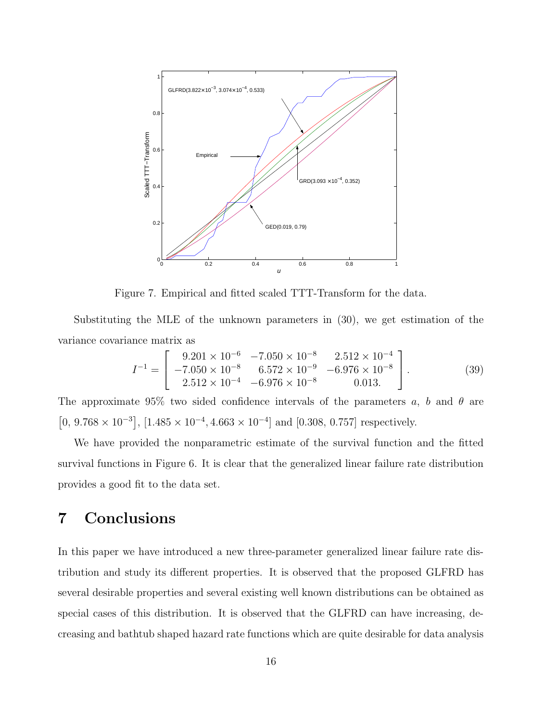

Figure 7. Empirical and fitted scaled TTT-Transform for the data.

Substituting the MLE of the unknown parameters in (30), we get estimation of the variance covariance matrix as

$$
I^{-1} = \begin{bmatrix} 9.201 \times 10^{-6} & -7.050 \times 10^{-8} & 2.512 \times 10^{-4} \\ -7.050 \times 10^{-8} & 6.572 \times 10^{-9} & -6.976 \times 10^{-8} \\ 2.512 \times 10^{-4} & -6.976 \times 10^{-8} & 0.013. \end{bmatrix}.
$$
 (39)

The approximate 95% two sided confidence intervals of the parameters a, b and  $\theta$  are  $[0, 9.768 \times 10^{-3}]$ ,  $[1.485 \times 10^{-4}, 4.663 \times 10^{-4}]$  and  $[0.308, 0.757]$  respectively.

We have provided the nonparametric estimate of the survival function and the fitted survival functions in Figure 6. It is clear that the generalized linear failure rate distribution provides a good fit to the data set.

## 7 Conclusions

In this paper we have introduced a new three-parameter generalized linear failure rate distribution and study its different properties. It is observed that the proposed GLFRD has several desirable properties and several existing well known distributions can be obtained as special cases of this distribution. It is observed that the GLFRD can have increasing, decreasing and bathtub shaped hazard rate functions which are quite desirable for data analysis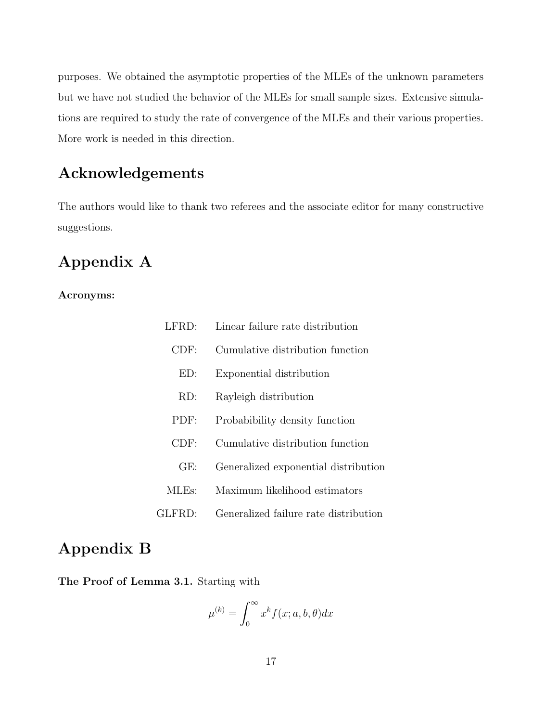purposes. We obtained the asymptotic properties of the MLEs of the unknown parameters but we have not studied the behavior of the MLEs for small sample sizes. Extensive simulations are required to study the rate of convergence of the MLEs and their various properties. More work is needed in this direction.

# Acknowledgements

The authors would like to thank two referees and the associate editor for many constructive suggestions.

# Appendix A

#### Acronyms:

| LFRD:  | Linear failure rate distribution      |
|--------|---------------------------------------|
| CDF:   | Cumulative distribution function      |
| ED:    | Exponential distribution              |
| RD:    | Rayleigh distribution                 |
| PDF:   | Probabibility density function        |
| CDF:   | Cumulative distribution function      |
| GE:    | Generalized exponential distribution  |
| MLEs:  | Maximum likelihood estimators         |
| GLFRD: | Generalized failure rate distribution |

## Appendix B

The Proof of Lemma 3.1. Starting with

$$
\mu^{(k)} = \int_0^\infty x^k f(x; a, b, \theta) dx
$$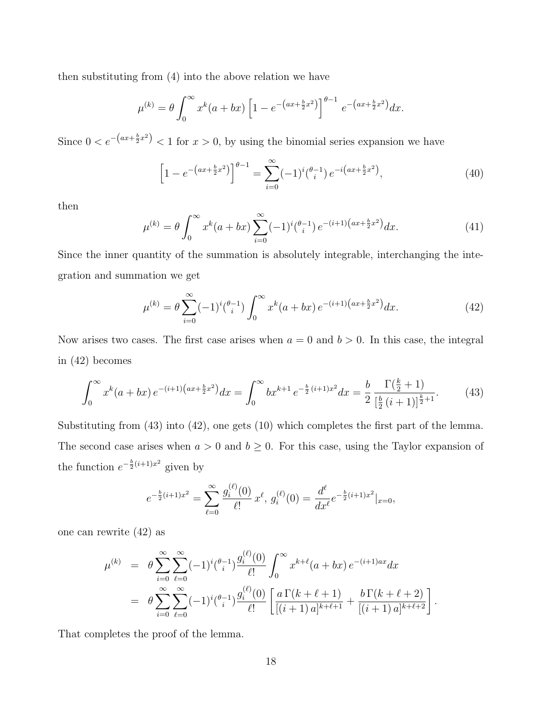then substituting from (4) into the above relation we have

$$
\mu^{(k)} = \theta \int_0^\infty x^k (a+bx) \left[ 1 - e^{-(ax+\frac{b}{2}x^2)} \right]_0^{\theta-1} e^{-(ax+\frac{b}{2}x^2)} dx.
$$

Since  $0 < e^{-(ax+\frac{b}{2}x^2)} < 1$  for  $x > 0$ , by using the binomial series expansion we have

$$
\[1 - e^{-\left(ax + \frac{b}{2}x^2\right)}\]^{b-1} = \sum_{i=0}^{\infty} (-1)^i \binom{b-1}{i} e^{-i\left(ax + \frac{b}{2}x^2\right)},\tag{40}
$$

then

$$
\mu^{(k)} = \theta \int_0^\infty x^k (a+bx) \sum_{i=0}^\infty (-1)^i {\theta-i \choose i} e^{-(i+1)\left(ax + \frac{b}{2}x^2\right)} dx.
$$
 (41)

Since the inner quantity of the summation is absolutely integrable, interchanging the integration and summation we get

$$
\mu^{(k)} = \theta \sum_{i=0}^{\infty} (-1)^i \binom{\theta - 1}{i} \int_0^{\infty} x^k (a + bx) e^{-(i+1)\left(ax + \frac{b}{2}x^2\right)} dx.
$$
 (42)

Now arises two cases. The first case arises when  $a = 0$  and  $b > 0$ . In this case, the integral in (42) becomes

$$
\int_0^\infty x^k (a+bx) \, e^{-(i+1)\left(ax+\frac{b}{2}x^2\right)} dx = \int_0^\infty bx^{k+1} \, e^{-\frac{b}{2}\left(i+1\right)x^2} dx = \frac{b}{2} \frac{\Gamma\left(\frac{k}{2}+1\right)}{\left[\frac{b}{2}\left(i+1\right)\right]^{\frac{k}{2}+1}}.\tag{43}
$$

Substituting from (43) into (42), one gets (10) which completes the first part of the lemma. The second case arises when  $a > 0$  and  $b \ge 0$ . For this case, using the Taylor expansion of the function  $e^{-\frac{b}{2}(i+1)x^2}$  given by

$$
e^{-\frac{b}{2}(i+1)x^2} = \sum_{\ell=0}^{\infty} \frac{g_i^{(\ell)}(0)}{\ell!} x^{\ell}, \ g_i^{(\ell)}(0) = \frac{d^{\ell}}{dx^{\ell}} e^{-\frac{b}{2}(i+1)x^2}|_{x=0},
$$

one can rewrite (42) as

$$
\mu^{(k)} = \theta \sum_{i=0}^{\infty} \sum_{\ell=0}^{\infty} (-1)^i {\theta_i - 1 \choose i} \frac{g_i^{(\ell)}(0)}{\ell!} \int_0^{\infty} x^{k+\ell} (a+bx) e^{-(i+1)ax} dx
$$
  
= 
$$
\theta \sum_{i=0}^{\infty} \sum_{\ell=0}^{\infty} (-1)^i {\theta_i - 1 \choose i} \frac{g_i^{(\ell)}(0)}{\ell!} \left[ \frac{a \Gamma(k+\ell+1)}{[(i+1) a]^{k+\ell+1}} + \frac{b \Gamma(k+\ell+2)}{[(i+1) a]^{k+\ell+2}} \right].
$$

That completes the proof of the lemma.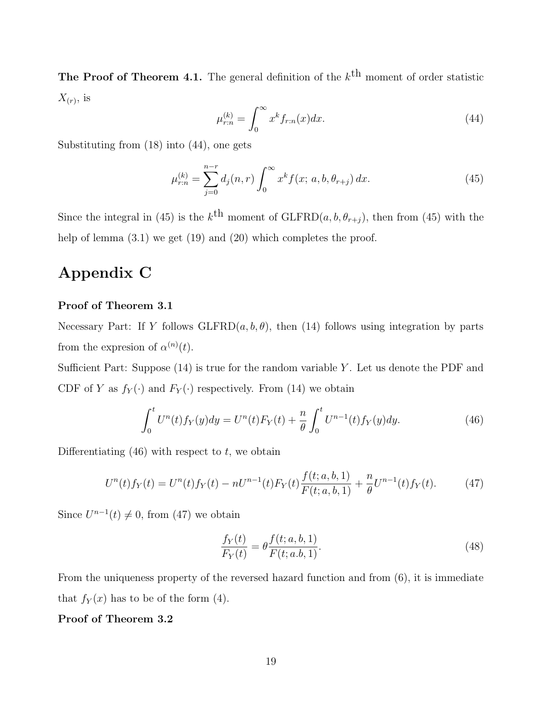**The Proof of Theorem 4.1.** The general definition of the  $k^{\text{th}}$  moment of order statistic  $X_{(r)}$ , is

$$
\mu_{r:n}^{(k)} = \int_0^\infty x^k f_{r:n}(x) dx.
$$
\n(44)

Substituting from (18) into (44), one gets

$$
\mu_{r:n}^{(k)} = \sum_{j=0}^{n-r} d_j(n,r) \int_0^\infty x^k f(x; a, b, \theta_{r+j}) dx.
$$
 (45)

Since the integral in (45) is the  $k^{\text{th}}$  moment of GLFRD $(a, b, \theta_{r+j})$ , then from (45) with the help of lemma  $(3.1)$  we get  $(19)$  and  $(20)$  which completes the proof.

## Appendix C

#### Proof of Theorem 3.1

Necessary Part: If Y follows  $GLFRD(a, b, \theta)$ , then (14) follows using integration by parts from the expression of  $\alpha^{(n)}(t)$ .

Sufficient Part: Suppose  $(14)$  is true for the random variable Y. Let us denote the PDF and CDF of Y as  $f_Y(\cdot)$  and  $F_Y(\cdot)$  respectively. From (14) we obtain

$$
\int_0^t U^n(t) f_Y(y) dy = U^n(t) F_Y(t) + \frac{n}{\theta} \int_0^t U^{n-1}(t) f_Y(y) dy.
$$
 (46)

Differentiating  $(46)$  with respect to t, we obtain

$$
U^{n}(t)f_{Y}(t) = U^{n}(t)f_{Y}(t) - nU^{n-1}(t)F_{Y}(t)\frac{f(t;a,b,1)}{F(t;a,b,1)} + \frac{n}{\theta}U^{n-1}(t)f_{Y}(t).
$$
 (47)

Since  $U^{n-1}(t) \neq 0$ , from (47) we obtain

$$
\frac{f_Y(t)}{F_Y(t)} = \theta \frac{f(t; a, b, 1)}{F(t; a, b, 1)}.
$$
\n(48)

From the uniqueness property of the reversed hazard function and from (6), it is immediate that  $f_Y(x)$  has to be of the form (4).

#### Proof of Theorem 3.2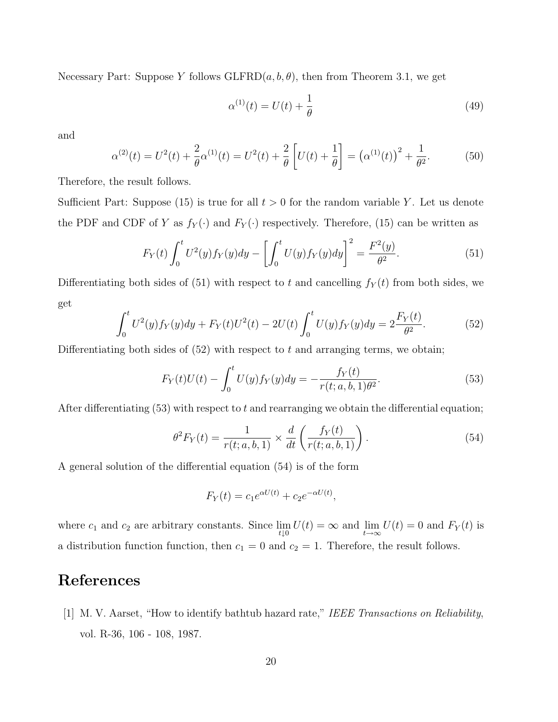Necessary Part: Suppose Y follows  $GLFRD(a, b, \theta)$ , then from Theorem 3.1, we get

$$
\alpha^{(1)}(t) = U(t) + \frac{1}{\theta} \tag{49}
$$

and

$$
\alpha^{(2)}(t) = U^2(t) + \frac{2}{\theta}\alpha^{(1)}(t) = U^2(t) + \frac{2}{\theta}\left[U(t) + \frac{1}{\theta}\right] = \left(\alpha^{(1)}(t)\right)^2 + \frac{1}{\theta^2}.
$$
 (50)

Therefore, the result follows.

Sufficient Part: Suppose (15) is true for all  $t > 0$  for the random variable Y. Let us denote the PDF and CDF of Y as  $f_Y(\cdot)$  and  $F_Y(\cdot)$  respectively. Therefore, (15) can be written as

$$
F_Y(t) \int_0^t U^2(y) f_Y(y) dy - \left[ \int_0^t U(y) f_Y(y) dy \right]^2 = \frac{F^2(y)}{\theta^2}.
$$
 (51)

Differentiating both sides of (51) with respect to t and cancelling  $f_Y(t)$  from both sides, we get

$$
\int_0^t U^2(y)f_Y(y)dy + F_Y(t)U^2(t) - 2U(t)\int_0^t U(y)f_Y(y)dy = 2\frac{F_Y(t)}{\theta^2}.
$$
 (52)

Differentiating both sides of  $(52)$  with respect to t and arranging terms, we obtain;

$$
F_Y(t)U(t) - \int_0^t U(y)f_Y(y)dy = -\frac{f_Y(t)}{r(t; a, b, 1)\theta^2}.
$$
\n(53)

After differentiating (53) with respect to t and rearranging we obtain the differential equation;

$$
\theta^2 F_Y(t) = \frac{1}{r(t; a, b, 1)} \times \frac{d}{dt} \left( \frac{f_Y(t)}{r(t; a, b, 1)} \right).
$$
 (54)

A general solution of the differential equation (54) is of the form

$$
F_Y(t) = c_1 e^{\alpha U(t)} + c_2 e^{-\alpha U(t)},
$$

where  $c_1$  and  $c_2$  are arbitrary constants. Since  $\lim_{t\downarrow 0} U(t) = \infty$  and  $\lim_{t\to\infty} U(t) = 0$  and  $F_Y(t)$  is a distribution function, then  $c_1 = 0$  and  $c_2 = 1$ . Therefore, the result follows.

# References

[1] M. V. Aarset, "How to identify bathtub hazard rate," IEEE Transactions on Reliability, vol. R-36, 106 - 108, 1987.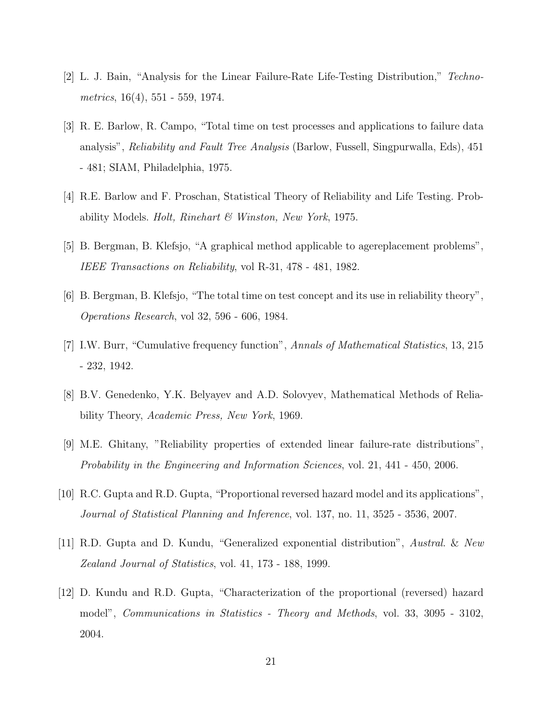- [2] L. J. Bain, "Analysis for the Linear Failure-Rate Life-Testing Distribution," Technometrics, 16(4), 551 - 559, 1974.
- [3] R. E. Barlow, R. Campo, "Total time on test processes and applications to failure data analysis", *Reliability and Fault Tree Analysis* (Barlow, Fussell, Singpurwalla, Eds), 451 - 481; SIAM, Philadelphia, 1975.
- [4] R.E. Barlow and F. Proschan, Statistical Theory of Reliability and Life Testing. Probability Models. *Holt, Rinehart & Winston, New York*, 1975.
- [5] B. Bergman, B. Klefsjo, "A graphical method applicable to agereplacement problems", IEEE Transactions on Reliability, vol R-31, 478 - 481, 1982.
- [6] B. Bergman, B. Klefsjo, "The total time on test concept and its use in reliability theory", Operations Research, vol 32, 596 - 606, 1984.
- [7] I.W. Burr, "Cumulative frequency function", Annals of Mathematical Statistics, 13, 215 - 232, 1942.
- [8] B.V. Genedenko, Y.K. Belyayev and A.D. Solovyev, Mathematical Methods of Reliability Theory, Academic Press, New York, 1969.
- [9] M.E. Ghitany, "Reliability properties of extended linear failure-rate distributions", Probability in the Engineering and Information Sciences, vol. 21, 441 - 450, 2006.
- [10] R.C. Gupta and R.D. Gupta, "Proportional reversed hazard model and its applications", Journal of Statistical Planning and Inference, vol. 137, no. 11, 3525 - 3536, 2007.
- [11] R.D. Gupta and D. Kundu, "Generalized exponential distribution", Austral. & New Zealand Journal of Statistics, vol. 41, 173 - 188, 1999.
- [12] D. Kundu and R.D. Gupta, "Characterization of the proportional (reversed) hazard model", Communications in Statistics - Theory and Methods, vol. 33, 3095 - 3102, 2004.